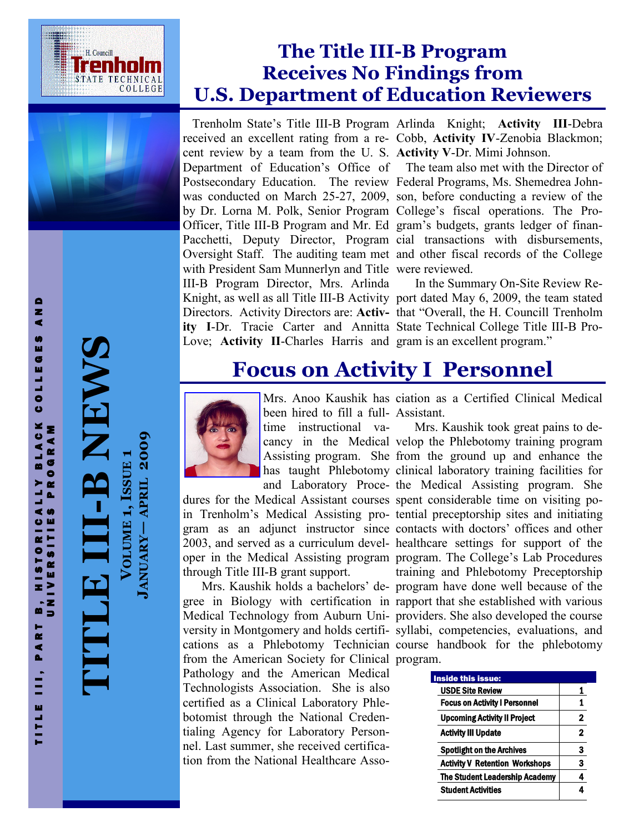



# **T -B NEWS**

T I T L E I I I , P A R T O R I C A L L Y B L A C K C O L L E G E S A N D<br>T I T L E I I I , P A R I T I E S P R O G R A M

B, HISTORICALLY<br>UNIVERSITIES PR

TITLE III, PART

AND

COLLEGES

BLACK

**PROGRAM** 

**VOLUME 1, ISSUE** VOLUME 1, ISSUE 1 **JANUARY APRIL 2009**

### **The Title III-B Program Receives No Findings from U.S. Department of Education Reviewers**

Trenholm State's Title III-B Program Arlinda Knight; **Activity III**-Debra cent review by a team from the U. S. **Activity V**-Dr. Mimi Johnson. Postsecondary Education. The review Federal Programs, Ms. Shemedrea Johnby Dr. Lorna M. Polk, Senior Program College's fiscal operations. The Pro-Officer, Title III-B Program and Mr. Ed gram's budgets, grants ledger of finanwith President Sam Munnerlyn and Title were reviewed. III-B Program Director, Mrs. Arlinda **ity I**-Dr. Tracie Carter and Annitta State Technical College Title III-B Pro-Love; **Activity II-Charles Harris and gram is an excellent program."** 

received an excellent rating from a re-Cobb, **Activity IV**-Zenobia Blackmon;

Department of Education's Office of The team also met with the Director of was conducted on March 25-27, 2009, son, before conducting a review of the Pacchetti, Deputy Director, Program cial transactions with disbursements, Oversight Staff. The auditing team met and other fiscal records of the College

Knight, as well as all Title III-B Activity port dated May 6, 2009, the team stated Directors. Activity Directors are: **Activ-**that "Overall, the H. Councill Trenholm In the Summary On-Site Review Re-

## **Focus on Activity I Personnel**



been hired to fill a full-Assistant.

time instructional va-

dures for the Medical Assistant courses spent considerable time on visiting poin Trenholm's Medical Assisting pro-tential preceptorship sites and initiating gram as an adjunct instructor since contacts with doctors' offices and other 2003, and served as a curriculum devel-healthcare settings for support of the oper in the Medical Assisting program program. The College's Lab Procedures through Title III-B grant support.

gree in Biology with certification in rapport that she established with various Medical Technology from Auburn Uni-providers. She also developed the course versity in Montgomery and holds certifi-syllabi, competencies, evaluations, and cations as a Phlebotomy Technician course handbook for the phlebotomy from the American Society for Clinical program. Pathology and the American Medical Technologists Association. She is also certified as a Clinical Laboratory Phlebotomist through the National Credentialing Agency for Laboratory Personnel. Last summer, she received certification from the National Healthcare Asso-

Mrs. Anoo Kaushik has ciation as a Certified Clinical Medical

cancy in the Medical velop the Phlebotomy training program Assisting program. She from the ground up and enhance the has taught Phlebotomy clinical laboratory training facilities for and Laboratory Proce-the Medical Assisting program. She Mrs. Kaushik holds a bachelors' de-program have done well because of the Mrs. Kaushik took great pains to detraining and Phlebotomy Preceptorship

| <b>Inside this issue:</b>             |              |
|---------------------------------------|--------------|
| <b>USDE Site Review</b>               |              |
| <b>Focus on Activity I Personnel</b>  | 1            |
| <b>Upcoming Activity II Project</b>   | $\mathbf 2$  |
| <b>Activity III Update</b>            | $\mathbf{2}$ |
| <b>Spotlight on the Archives</b>      | 3            |
| <b>Activity V Retention Workshops</b> | 3            |
| <b>The Student Leadership Academy</b> |              |
| <b>Student Activities</b>             |              |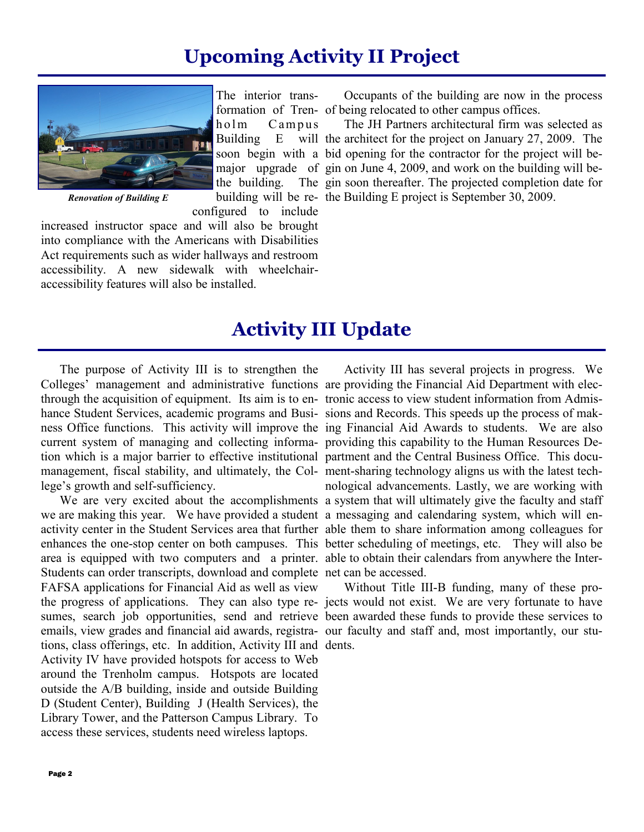### **Upcoming Activity II Project**

<span id="page-1-0"></span>

*Renovation of Building E*

configured to include increased instructor space and will also be brought into compliance with the Americans with Disabilities Act requirements such as wider hallways and restroom accessibility. A new sidewalk with wheelchairaccessibility features will also be installed.

formation of Tren-of being relocated to other campus offices. Occupants of the building are now in the process

soon begin with a bid opening for the contractor for the project will bemajor upgrade of gin on June 4, 2009, and work on the building will bebuilding will be re-the Building E project is September 30, 2009. The JH Partners architectural firm was selected as will the architect for the project on January 27, 2009. The The gin soon thereafter. The projected completion date for

### **Activity III Update**

The purpose of Activity III is to strengthen the Colleges' management and administrative functions are providing the Financial Aid Department with electhrough the acquisition of equipment. Its aim is to en-tronic access to view student information from Admishance Student Services, academic programs and Busi- sions and Records. This speeds up the process of makcurrent system of managing and collecting informa-providing this capability to the Human Resources Detion which is a major barrier to effective institutional partment and the Central Business Office. This documanagement, fiscal stability, and ultimately, the Col- ment-sharing technology aligns us with the latest techlege's growth and self-sufficiency.

we are making this year. We have provided a student a messaging and calendaring system, which will enarea is equipped with two computers and a printer. able to obtain their calendars from anywhere the Inter-Students can order transcripts, download and complete net can be accessed. FAFSA applications for Financial Aid as well as view the progress of applications. They can also type re-jects would not exist. We are very fortunate to have sumes, search job opportunities, send and retrieve been awarded these funds to provide these services to emails, view grades and financial aid awards, registra-our faculty and staff and, most importantly, our stutions, class offerings, etc. In addition, Activity III and dents.Activity IV have provided hotspots for access to Web around the Trenholm campus. Hotspots are located outside the A/B building, inside and outside Building D (Student Center), Building J (Health Services), the Library Tower, and the Patterson Campus Library. To access these services, students need wireless laptops.

ness Office functions. This activity will improve the ing Financial Aid Awards to students. We are also We are very excited about the accomplishments a system that will ultimately give the faculty and staff activity center in the Student Services area that further able them to share information among colleagues for enhances the one-stop center on both campuses. This better scheduling of meetings, etc. They will also be Activity III has several projects in progress. We nological advancements. Lastly, we are working with

Without Title III-B funding, many of these pro-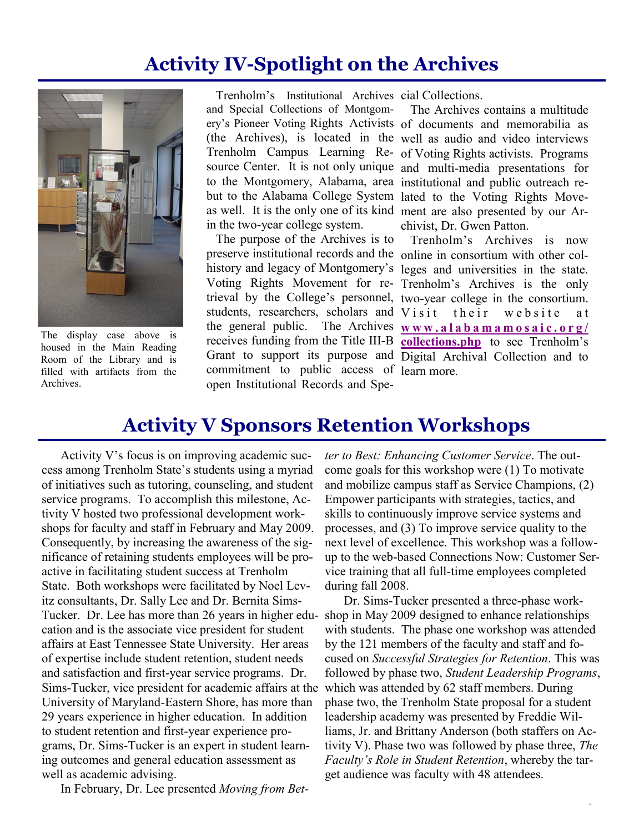### **Activity IV-Spotlight on the Archives**



The display case above is housed in the Main Reading Room of the Library and is filled with artifacts from the Archives.

Trenholm's Institutional Archives cial Collections. and Special Collections of Montgomin the two-year college system.

The purpose of the Archives is to commitment to public access of learn more.open Institutional Records and Spe-

ery's Pioneer Voting Rights Activists of documents and memorabilia as (the Archives), is located in the well as audio and video interviews Trenholm Campus Learning Re-of Voting Rights activists. Programs source Center. It is not only unique and multi-media presentations for to the Montgomery, Alabama, area institutional and public outreach rebut to the Alabama College System lated to the Voting Rights Moveas well. It is the only one of its kind ment are also presented by our Ar-The Archives contains a multitude chivist, Dr. Gwen Patton.

preserve institutional records and the online in consortium with other colhistory and legacy of Montgomery's leges and universities in the state. Voting Rights Movement for re-Trenholm's Archives is the only trieval by the College's personnel, two-year college in the consortium. students, researchers, scholars and Visit their website at the general public. The Archives  $w w w$  alabamamosaic.org/ receives funding from the Title III-B **[collections.php](#page-1-0)** to see Trenholm's Grant to support its purpose and Digital Archival Collection and to Trenholm's Archives is now

### **Activity V Sponsors Retention Workshops**

Activity V's focus is on improving academic success among Trenholm State's students using a myriad of initiatives such as tutoring, counseling, and student service programs. To accomplish this milestone, Activity V hosted two professional development workshops for faculty and staff in February and May 2009. Consequently, by increasing the awareness of the significance of retaining students employees will be proactive in facilitating student success at Trenholm State. Both workshops were facilitated by Noel Levitz consultants, Dr. Sally Lee and Dr. Bernita Sims-Tucker. Dr. Lee has more than 26 years in higher edu-shop in May 2009 designed to enhance relationships cation and is the associate vice president for student affairs at East Tennessee State University. Her areas of expertise include student retention, student needs and satisfaction and first-year service programs. Dr. Sims-Tucker, vice president for academic affairs at the University of Maryland-Eastern Shore, has more than 29 years experience in higher education. In addition to student retention and first-year experience programs, Dr. Sims-Tucker is an expert in student learning outcomes and general education assessment as well as academic advising.

In February, Dr. Lee presented *Moving from Bet-*

*ter to Best: Enhancing Customer Service*. The outcome goals for this workshop were (1) To motivate and mobilize campus staff as Service Champions, (2) Empower participants with strategies, tactics, and skills to continuously improve service systems and processes, and (3) To improve service quality to the next level of excellence. This workshop was a followup to the web-based Connections Now: Customer Service training that all full-time employees completed during fall 2008.

Dr. Sims-Tucker presented a three-phase workwith students. The phase one workshop was attended by the 121 members of the faculty and staff and focused on *Successful Strategies for Retention*. This was followed by phase two, *Student Leadership Programs*, which was attended by 62 staff members. During phase two, the Trenholm State proposal for a student leadership academy was presented by Freddie Williams, Jr. and Brittany Anderson (both staffers on Activity V). Phase two was followed by phase three, *The Faculty's Role in Student Retention*, whereby the target audience was faculty with 48 attendees.

Page 3